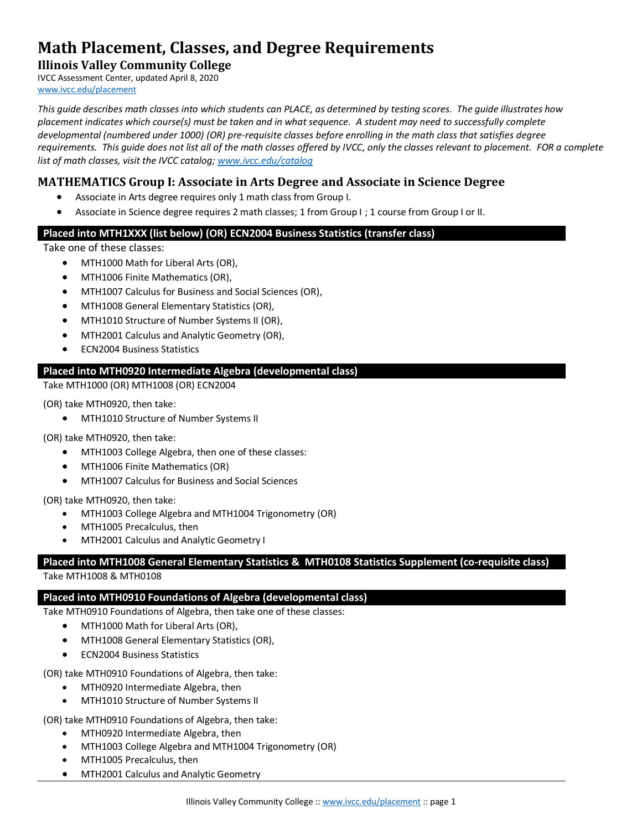# **Math Placement, Classes, and Degree Requirements**

**Illinois Valley Community College** IVCC Assessment Center, updated April 8, 2020

[www.ivcc.edu/placement](http://www.ivcc.edu/placement)

*This guide describes math classes into which students can PLACE, as determined by testing scores. The guide illustrates how placement indicates which course(s) must be taken and in what sequence. A student may need to successfully complete developmental (numbered under 1000) (OR) pre-requisite classes before enrolling in the math class that satisfies degree requirements. This guide does not list all of the math classes offered by IVCC, only the classes relevant to placement. FOR a complete list of math classes, visit the IVCC catalog[; www.ivcc.edu/catalog](http://www.ivcc.edu/catalog)*

## **MATHEMATICS Group I: Associate in Arts Degree and Associate in Science Degree**

- Associate in Arts degree requires only 1 math class from Group I.
- Associate in Science degree requires 2 math classes; 1 from Group I ; 1 course from Group I or II.

### **Placed into MTH1XXX (list below) (OR) ECN2004 Business Statistics (transfer class)**

Take one of these classes:

- MTH1000 Math for Liberal Arts (OR),
- MTH1006 Finite Mathematics (OR),
- MTH1007 Calculus for Business and Social Sciences (OR),
- MTH1008 General Elementary Statistics (OR),
- MTH1010 Structure of Number Systems II (OR),
- **MTH2001 Calculus and Analytic Geometry (OR),**
- **• ECN2004 Business Statistics**

#### **Placed into MTH0920 Intermediate Algebra (developmental class)**

Take MTH1000 (OR) MTH1008 (OR) ECN2004

(OR) take MTH0920, then take:

MTH1010 Structure of Number Systems II

(OR) take MTH0920, then take:

- MTH1003 College Algebra, then one of these classes:
- MTH1006 Finite Mathematics (OR)
- MTH1007 Calculus for Business and Social Sciences

(OR) take MTH0920, then take:

- MTH1003 College Algebra and MTH1004 Trigonometry (OR)
- MTH1005 Precalculus, then
- MTH2001 Calculus and Analytic Geometry I

# **Placed into MTH1008 General Elementary Statistics & MTH0108 Statistics Supplement (co-requisite class)**

Take MTH1008 & MTH0108

## **Placed into MTH0910 Foundations of Algebra (developmental class)**

Take MTH0910 Foundations of Algebra, then take one of these classes:

- MTH1000 Math for Liberal Arts (OR),
- MTH1008 General Elementary Statistics (OR),
- ECN2004 Business Statistics

(OR) take MTH0910 Foundations of Algebra, then take:

- MTH0920 Intermediate Algebra, then
- MTH1010 Structure of Number Systems II

(OR) take MTH0910 Foundations of Algebra, then take:

- MTH0920 Intermediate Algebra, then
- MTH1003 College Algebra and MTH1004 Trigonometry (OR)
- MTH1005 Precalculus, then
- MTH2001 Calculus and Analytic Geometry